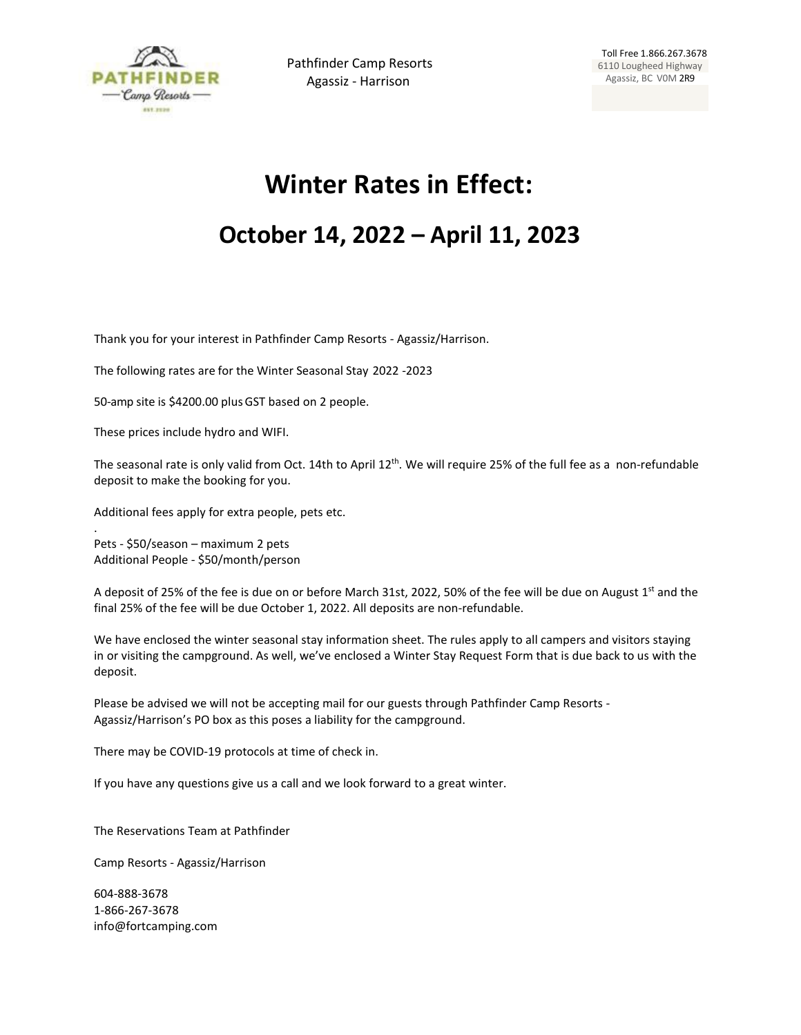

## **Winter Rates in Effect:**

## **October 14, 2022 – April 11, 2023**

Thank you for your interest in Pathfinder Camp Resorts - Agassiz/Harrison.

The following rates are for the Winter Seasonal Stay 2022 -2023

50-amp site is \$4200.00 plusGST based on 2 people.

These prices include hydro and WIFI.

The seasonal rate is only valid from Oct. 14th to April 12<sup>th</sup>. We will require 25% of the full fee as a non-refundable deposit to make the booking for you.

Additional fees apply for extra people, pets etc.

Pets - \$50/season – maximum 2 pets Additional People - \$50/month/person

.

A deposit of 25% of the fee is due on or before March 31st, 2022, 50% of the fee will be due on August 1<sup>st</sup> and the final 25% of the fee will be due October 1, 2022. All deposits are non-refundable.

We have enclosed the winter seasonal stay information sheet. The rules apply to all campers and visitors staying in or visiting the campground. As well, we've enclosed a Winter Stay Request Form that is due back to us with the deposit.

Please be advised we will not be accepting mail for our guests through Pathfinder Camp Resorts - Agassiz/Harrison's PO box as this poses a liability for the campground.

There may be COVID-19 protocols at time of check in.

If you have any questions give us a call and we look forward to a great winter.

The Reservations Team at Pathfinder

Camp Resorts - Agassiz/Harrison

604-888-3678 1-866-267-3678 [info@fortcamping.com](mailto:info@fortcamping.com)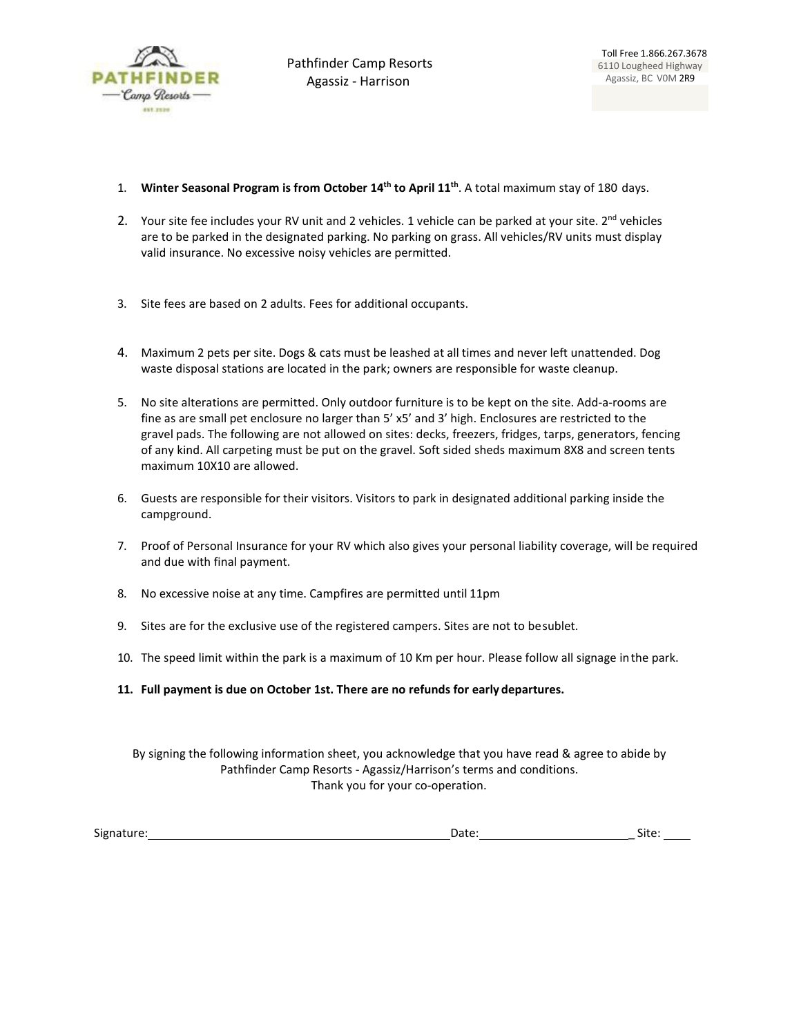

- 1. **Winter Seasonal Program is from October 14th to April 11th**. A total maximum stay of 180 days.
- 2. Your site fee includes your RV unit and 2 vehicles. 1 vehicle can be parked at your site.  $2^{nd}$  vehicles are to be parked in the designated parking. No parking on grass. All vehicles/RV units must display valid insurance. No excessive noisy vehicles are permitted.
- 3. Site fees are based on 2 adults. Fees for additional occupants.
- 4. Maximum 2 pets per site. Dogs & cats must be leashed at all times and never left unattended. Dog waste disposal stations are located in the park; owners are responsible for waste cleanup.
- 5. No site alterations are permitted. Only outdoor furniture is to be kept on the site. Add-a-rooms are fine as are small pet enclosure no larger than 5' x5' and 3' high. Enclosures are restricted to the gravel pads. The following are not allowed on sites: decks, freezers, fridges, tarps, generators, fencing of any kind. All carpeting must be put on the gravel. Soft sided sheds maximum 8X8 and screen tents maximum 10X10 are allowed.
- 6. Guests are responsible for their visitors. Visitors to park in designated additional parking inside the campground.
- 7. Proof of Personal Insurance for your RV which also gives your personal liability coverage, will be required and due with final payment.
- 8. No excessive noise at any time. Campfires are permitted until 11pm
- 9. Sites are for the exclusive use of the registered campers. Sites are not to besublet.
- 10. The speed limit within the park is a maximum of 10 Km per hour. Please follow all signage inthe park.
- **11. Full payment is due on October 1st. There are no refunds for early departures.**

By signing the following information sheet, you acknowledge that you have read & agree to abide by Pathfinder Camp Resorts - Agassiz/Harrison's terms and conditions. Thank you for your co-operation.

Signature: Date: \_ Site: